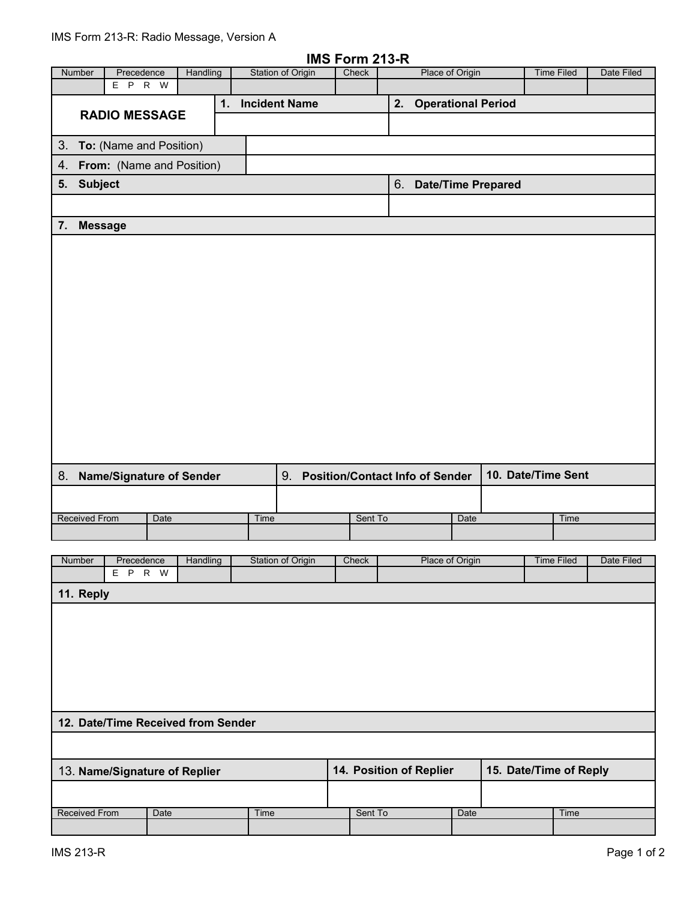|                              |                                    |      |          |                       |                          | IMS Form 213-R |                                 |                                        |      |  |                        |            |
|------------------------------|------------------------------------|------|----------|-----------------------|--------------------------|----------------|---------------------------------|----------------------------------------|------|--|------------------------|------------|
| Number                       | Precedence                         |      | Handling |                       | <b>Station of Origin</b> | Check          |                                 | Place of Origin                        |      |  | <b>Time Filed</b>      | Date Filed |
|                              | E P R W                            |      |          |                       |                          |                |                                 |                                        |      |  |                        |            |
|                              | <b>RADIO MESSAGE</b>               |      | 1.       | <b>Incident Name</b>  |                          |                | <b>Operational Period</b><br>2. |                                        |      |  |                        |            |
|                              |                                    |      |          |                       |                          |                |                                 |                                        |      |  |                        |            |
| 3.                           | To: (Name and Position)            |      |          |                       |                          |                |                                 |                                        |      |  |                        |            |
| 4. From: (Name and Position) |                                    |      |          |                       |                          |                |                                 |                                        |      |  |                        |            |
| 5. Subject                   |                                    |      |          | 6. Date/Time Prepared |                          |                |                                 |                                        |      |  |                        |            |
|                              |                                    |      |          |                       |                          |                |                                 |                                        |      |  |                        |            |
|                              |                                    |      |          |                       |                          |                |                                 |                                        |      |  |                        |            |
| 7.                           | <b>Message</b>                     |      |          |                       |                          |                |                                 |                                        |      |  |                        |            |
|                              |                                    |      |          |                       |                          |                |                                 |                                        |      |  |                        |            |
|                              |                                    |      |          |                       |                          |                |                                 |                                        |      |  |                        |            |
|                              |                                    |      |          |                       |                          |                |                                 |                                        |      |  |                        |            |
|                              |                                    |      |          |                       |                          |                |                                 |                                        |      |  |                        |            |
|                              |                                    |      |          |                       |                          |                |                                 |                                        |      |  |                        |            |
|                              |                                    |      |          |                       |                          |                |                                 |                                        |      |  |                        |            |
|                              |                                    |      |          |                       |                          |                |                                 |                                        |      |  |                        |            |
|                              |                                    |      |          |                       |                          |                |                                 |                                        |      |  |                        |            |
|                              |                                    |      |          |                       |                          |                |                                 |                                        |      |  |                        |            |
|                              |                                    |      |          |                       |                          |                |                                 |                                        |      |  |                        |            |
|                              |                                    |      |          |                       |                          |                |                                 |                                        |      |  |                        |            |
|                              |                                    |      |          |                       |                          |                |                                 |                                        |      |  |                        |            |
|                              |                                    |      |          |                       |                          |                |                                 |                                        |      |  |                        |            |
|                              |                                    |      |          |                       |                          |                |                                 |                                        |      |  |                        |            |
|                              |                                    |      |          |                       |                          |                |                                 |                                        |      |  | 10. Date/Time Sent     |            |
| 8. Name/Signature of Sender  |                                    |      |          |                       | 9.                       |                |                                 | <b>Position/Contact Info of Sender</b> |      |  |                        |            |
|                              |                                    |      |          |                       |                          |                |                                 |                                        |      |  |                        |            |
| <b>Received From</b>         |                                    | Date |          |                       | Time                     | Sent To        |                                 |                                        | Date |  | Time                   |            |
|                              |                                    |      |          |                       |                          |                |                                 |                                        |      |  |                        |            |
| Number                       | Precedence                         |      | Handling |                       | Station of Origin        | Check          |                                 | Place of Origin                        |      |  | Time Filed             | Date Filed |
|                              | E P R W                            |      |          |                       |                          |                |                                 |                                        |      |  |                        |            |
| 11. Reply                    |                                    |      |          |                       |                          |                |                                 |                                        |      |  |                        |            |
|                              |                                    |      |          |                       |                          |                |                                 |                                        |      |  |                        |            |
|                              |                                    |      |          |                       |                          |                |                                 |                                        |      |  |                        |            |
|                              |                                    |      |          |                       |                          |                |                                 |                                        |      |  |                        |            |
|                              |                                    |      |          |                       |                          |                |                                 |                                        |      |  |                        |            |
|                              |                                    |      |          |                       |                          |                |                                 |                                        |      |  |                        |            |
|                              |                                    |      |          |                       |                          |                |                                 |                                        |      |  |                        |            |
|                              |                                    |      |          |                       |                          |                |                                 |                                        |      |  |                        |            |
|                              | 12. Date/Time Received from Sender |      |          |                       |                          |                |                                 |                                        |      |  |                        |            |
|                              |                                    |      |          |                       |                          |                |                                 |                                        |      |  |                        |            |
|                              |                                    |      |          |                       |                          |                |                                 |                                        |      |  |                        |            |
|                              | 13. Name/Signature of Replier      |      |          |                       |                          |                |                                 | 14. Position of Replier                |      |  | 15. Date/Time of Reply |            |
|                              |                                    |      |          |                       |                          |                |                                 |                                        |      |  |                        |            |
| <b>Received From</b>         |                                    | Date |          |                       | Time                     | Sent To        |                                 |                                        | Date |  | Time                   |            |